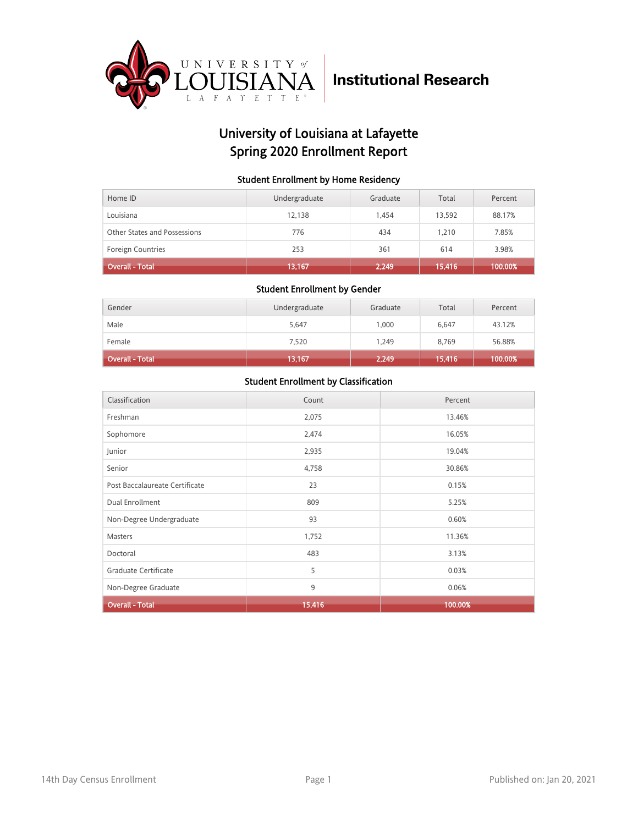

## University of Louisiana at Lafayette Spring 2020 Enrollment Report

#### Student Enrollment by Home Residency

| Home ID                      | Undergraduate | Graduate | Total  | Percent |
|------------------------------|---------------|----------|--------|---------|
| Louisiana                    | 12.138        | 1.454    | 13,592 | 88.17%  |
| Other States and Possessions | 776           | 434      | 1.210  | 7.85%   |
| <b>Foreign Countries</b>     | 253           | 361      | 614    | 3.98%   |
| <b>Overall - Total</b>       | 13,167        | 2,249    | 15,416 | 100.00% |

#### Student Enrollment by Gender

| Gender                 | Undergraduate | Graduate | Total  | Percent |
|------------------------|---------------|----------|--------|---------|
| Male                   | 5,647         | 1.000    | 6.647  | 43.12%  |
| Female                 | 7,520         | 1.249    | 8,769  | 56.88%  |
| <b>Overall - Total</b> | 13,167        | 2,249    | 15,416 | 100.00% |

| Classification                 | Count  | Percent |
|--------------------------------|--------|---------|
| Freshman                       | 2,075  | 13.46%  |
| Sophomore                      | 2,474  | 16.05%  |
| Junior                         | 2,935  | 19.04%  |
| Senior                         | 4,758  | 30.86%  |
| Post Baccalaureate Certificate | 23     | 0.15%   |
| Dual Enrollment                | 809    | 5.25%   |
| Non-Degree Undergraduate       | 93     | 0.60%   |
| Masters                        | 1,752  | 11.36%  |
| Doctoral                       | 483    | 3.13%   |
| Graduate Certificate           | 5      | 0.03%   |
| Non-Degree Graduate            | 9      | 0.06%   |
| <b>Overall - Total</b>         | 15,416 | 100.00% |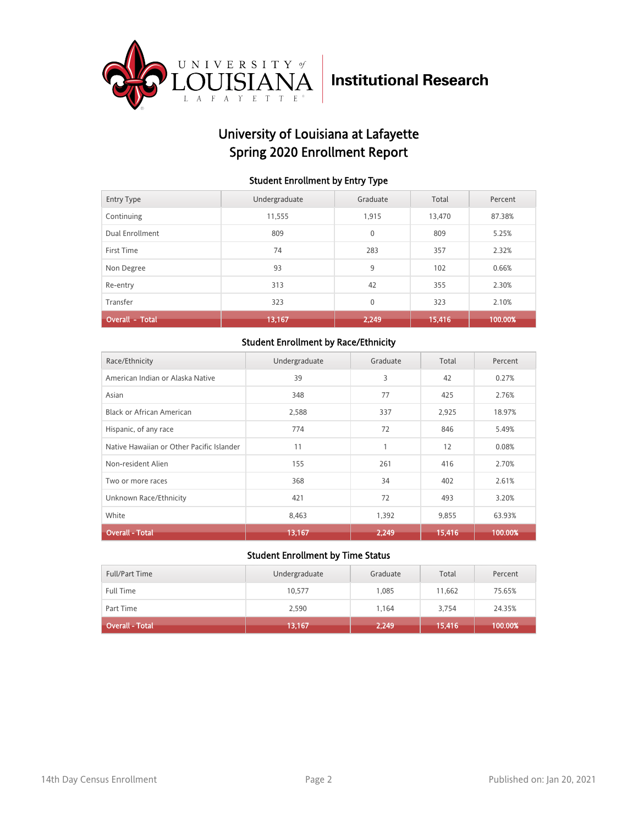

## University of Louisiana at Lafayette Spring 2020 Enrollment Report

#### Student Enrollment by Entry Type

| <b>Entry Type</b>      | Undergraduate | Graduate     | Total  | Percent |
|------------------------|---------------|--------------|--------|---------|
| Continuing             | 11,555        | 1,915        | 13,470 | 87.38%  |
| Dual Enrollment        | 809           | $\mathbf{0}$ | 809    | 5.25%   |
| First Time             | 74            | 283          | 357    | 2.32%   |
| Non Degree             | 93            | 9            | 102    | 0.66%   |
| Re-entry               | 313           | 42           | 355    | 2.30%   |
| Transfer               | 323           | $\mathbf{0}$ | 323    | 2.10%   |
| <b>Overall - Total</b> | 13,167        | 2,249        | 15,416 | 100.00% |

#### Student Enrollment by Race/Ethnicity

| Race/Ethnicity                            | Undergraduate | Graduate | Total  | Percent |
|-------------------------------------------|---------------|----------|--------|---------|
| American Indian or Alaska Native          | 39            | 3        | 42     | 0.27%   |
| Asian                                     | 348           | 77       | 425    | 2.76%   |
| Black or African American                 | 2,588         | 337      | 2,925  | 18.97%  |
| Hispanic, of any race                     | 774           | 72       | 846    | 5.49%   |
| Native Hawaiian or Other Pacific Islander | 11            |          | 12     | 0.08%   |
| Non-resident Alien                        | 155           | 261      | 416    | 2.70%   |
| Two or more races                         | 368           | 34       | 402    | 2.61%   |
| Unknown Race/Ethnicity                    | 421           | 72       | 493    | 3.20%   |
| White                                     | 8,463         | 1,392    | 9,855  | 63.93%  |
| <b>Overall - Total</b>                    | 13,167        | 2,249    | 15,416 | 100.00% |

| <b>Full/Part Time</b> | Undergraduate | Graduate | Total  | Percent |
|-----------------------|---------------|----------|--------|---------|
| <b>Full Time</b>      | 10.577        | 1.085    | 11.662 | 75.65%  |
| Part Time             | 2,590         | 1.164    | 3,754  | 24.35%  |
| Overall - Total       | 13,167        | 2,249    | 15,416 | 100.00% |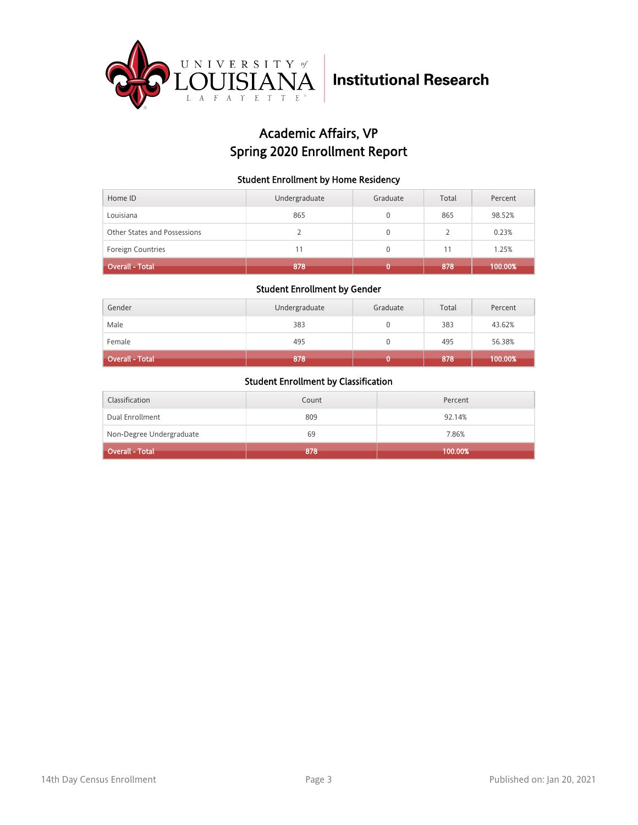

## Academic Affairs, VP Spring 2020 Enrollment Report

#### Student Enrollment by Home Residency

| Home ID                      | Undergraduate | Graduate | Total | Percent |
|------------------------------|---------------|----------|-------|---------|
| Louisiana                    | 865           |          | 865   | 98.52%  |
| Other States and Possessions |               |          |       | 0.23%   |
| <b>Foreign Countries</b>     | 11            |          |       | 1.25%   |
| <b>Overall - Total</b>       | 878           |          | 878   | 100.00% |

#### Student Enrollment by Gender

| Gender                 | Undergraduate | Graduate | Total | Percent |
|------------------------|---------------|----------|-------|---------|
| Male                   | 383           |          | 383   | 43.62%  |
| Female                 | 495           |          | 495   | 56.38%  |
| <b>Overall - Total</b> | 878           |          | 878   | 100.00% |

| Classification           | Count | Percent |
|--------------------------|-------|---------|
| Dual Enrollment          | 809   | 92.14%  |
| Non-Degree Undergraduate | 69    | 7.86%   |
| <b>Overall - Total</b>   | 878   | 100.00% |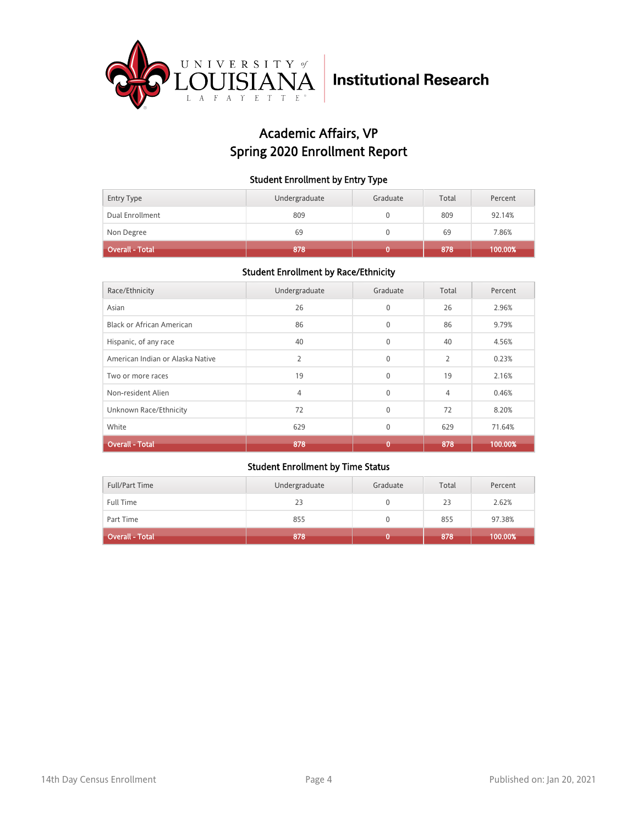

## Academic Affairs, VP Spring 2020 Enrollment Report

#### Student Enrollment by Entry Type

| <b>Entry Type</b> | Undergraduate | Graduate | Total | Percent |
|-------------------|---------------|----------|-------|---------|
| Dual Enrollment   | 809           |          | 809   | 92.14%  |
| Non Degree        | 69            |          | 69    | 7.86%   |
| Overall - Total   | 878           |          | 878   | 100.00% |

### Student Enrollment by Race/Ethnicity

| Race/Ethnicity                   | Undergraduate  | Graduate     | Total          | Percent |
|----------------------------------|----------------|--------------|----------------|---------|
| Asian                            | 26             | $\mathbf{0}$ | 26             | 2.96%   |
| Black or African American        | 86             | $\Omega$     | 86             | 9.79%   |
| Hispanic, of any race            | 40             | $\mathbf{0}$ | 40             | 4.56%   |
| American Indian or Alaska Native | $\overline{2}$ | $\mathbf{0}$ | $\overline{2}$ | 0.23%   |
| Two or more races                | 19             | $\mathbf{0}$ | 19             | 2.16%   |
| Non-resident Alien               | 4              | $\mathbf{0}$ | 4              | 0.46%   |
| Unknown Race/Ethnicity           | 72             | $\mathbf{0}$ | 72             | 8.20%   |
| White                            | 629            | $\mathbf{0}$ | 629            | 71.64%  |
| <b>Overall - Total</b>           | 878            | 0            | 878            | 100.00% |

| <b>Full/Part Time</b>        | Undergraduate | Graduate | Total | Percent |
|------------------------------|---------------|----------|-------|---------|
| <b>Full Time</b>             | 23            |          | 23    | 2.62%   |
| Part Time                    | 855           |          | 855   | 97.38%  |
| Overall - Total <sup> </sup> | 878           |          | 878   | 100.00% |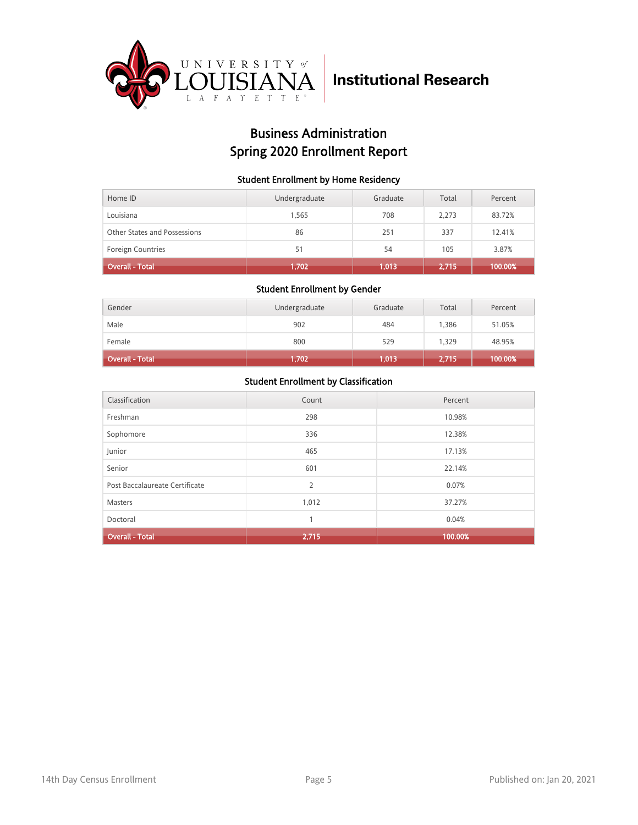

## Business Administration Spring 2020 Enrollment Report

#### Student Enrollment by Home Residency

| Home ID                      | Undergraduate | Graduate | Total | Percent |
|------------------------------|---------------|----------|-------|---------|
| Louisiana                    | 1.565         | 708      | 2.273 | 83.72%  |
| Other States and Possessions | 86            | 251      | 337   | 12.41%  |
| <b>Foreign Countries</b>     | 51            | 54       | 105   | 3.87%   |
| <b>Overall - Total</b>       | 1,702         | 1.013    | 2,715 | 100.00% |

#### Student Enrollment by Gender

| Gender                 | Undergraduate | Graduate | Total | Percent |
|------------------------|---------------|----------|-------|---------|
| Male                   | 902           | 484      | 1,386 | 51.05%  |
| Female                 | 800           | 529      | 1,329 | 48.95%  |
| <b>Overall - Total</b> | 1,702         | 1,013    | 2,715 | 100.00% |

| Classification                 | Count          | Percent |
|--------------------------------|----------------|---------|
| Freshman                       | 298            | 10.98%  |
| Sophomore                      | 336            | 12.38%  |
| Junior                         | 465            | 17.13%  |
| Senior                         | 601            | 22.14%  |
| Post Baccalaureate Certificate | $\overline{2}$ | 0.07%   |
| Masters                        | 1,012          | 37.27%  |
| Doctoral                       | 1              | 0.04%   |
| <b>Overall - Total</b>         | 2,715          | 100.00% |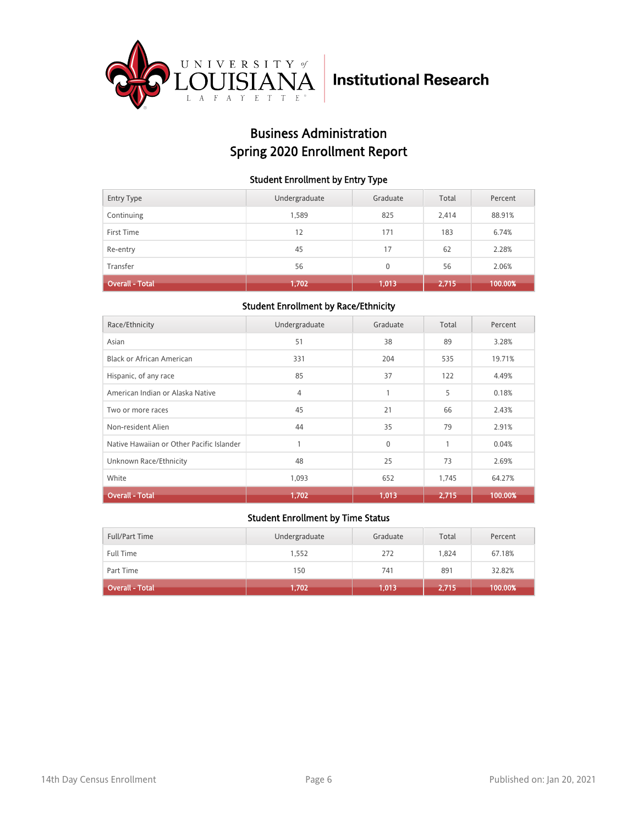

## Business Administration Spring 2020 Enrollment Report

#### Student Enrollment by Entry Type

| <b>Entry Type</b>      | Undergraduate | Graduate | Total | Percent |
|------------------------|---------------|----------|-------|---------|
| Continuing             | 1,589         | 825      | 2,414 | 88.91%  |
| First Time             | 12            | 171      | 183   | 6.74%   |
| Re-entry               | 45            | 17       | 62    | 2.28%   |
| Transfer               | 56            | $\Omega$ | 56    | 2.06%   |
| <b>Overall - Total</b> | 1,702         | 1,013    | 2,715 | 100.00% |

### Student Enrollment by Race/Ethnicity

| Race/Ethnicity                            | Undergraduate  | Graduate     | Total | Percent |
|-------------------------------------------|----------------|--------------|-------|---------|
| Asian                                     | 51             | 38           | 89    | 3.28%   |
| Black or African American                 | 331            | 204          | 535   | 19.71%  |
| Hispanic, of any race                     | 85             | 37           | 122   | 4.49%   |
| American Indian or Alaska Native          | $\overline{4}$ |              | 5     | 0.18%   |
| Two or more races                         | 45             | 21           | 66    | 2.43%   |
| Non-resident Alien                        | 44             | 35           | 79    | 2.91%   |
| Native Hawaiian or Other Pacific Islander |                | $\mathbf{0}$ | 1     | 0.04%   |
| Unknown Race/Ethnicity                    | 48             | 25           | 73    | 2.69%   |
| White                                     | 1,093          | 652          | 1,745 | 64.27%  |
| <b>Overall - Total</b>                    | 1,702          | 1,013        | 2,715 | 100.00% |

| <b>Full/Part Time</b>  | Undergraduate | Graduate | Total | Percent |
|------------------------|---------------|----------|-------|---------|
| <b>Full Time</b>       | 1,552         | 272      | 1.824 | 67.18%  |
| Part Time              | 150           | 741      | 891   | 32.82%  |
| <b>Overall - Total</b> | 1,702         | 1,013    | 2,715 | 100.00% |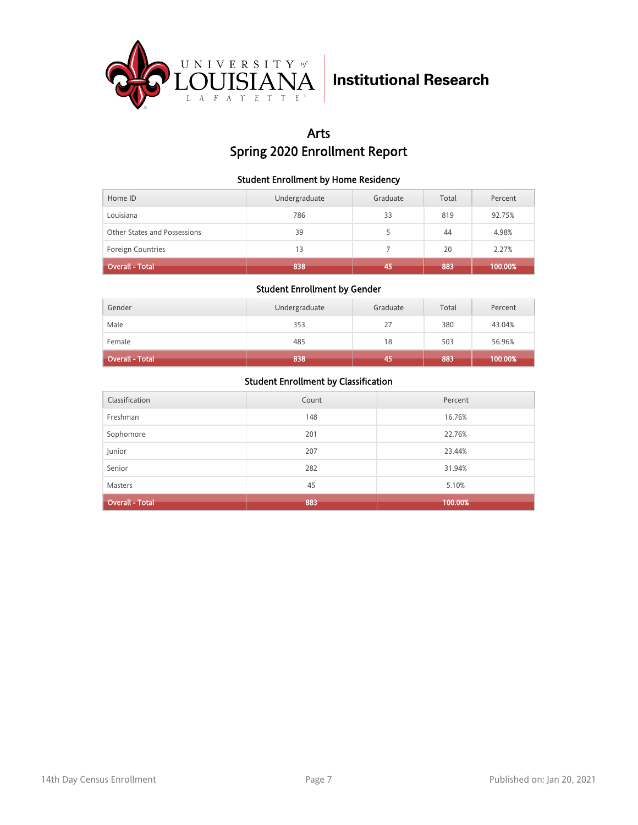

## Arts Spring 2020 Enrollment Report

#### Student Enrollment by Home Residency

| Home ID                      | Undergraduate | Graduate | Total | Percent |
|------------------------------|---------------|----------|-------|---------|
| Louisiana                    | 786           | 33       | 819   | 92.75%  |
| Other States and Possessions | 39            |          | 44    | 4.98%   |
| <b>Foreign Countries</b>     | 13            |          | 20    | 2.27%   |
| <b>Overall - Total</b>       | 838           | 45       | 883   | 100.00% |

#### Student Enrollment by Gender

| Gender                 | Undergraduate | Graduate | Total | Percent |
|------------------------|---------------|----------|-------|---------|
| Male                   | 353           | 27       | 380   | 43.04%  |
| Female                 | 485           | 18       | 503   | 56.96%  |
| <b>Overall - Total</b> | 838           | 45       | 883   | 100.00% |

| Classification         | Count | Percent |
|------------------------|-------|---------|
| Freshman               | 148   | 16.76%  |
| Sophomore              | 201   | 22.76%  |
| Junior                 | 207   | 23.44%  |
| Senior                 | 282   | 31.94%  |
| <b>Masters</b>         | 45    | 5.10%   |
| <b>Overall - Total</b> | 883   | 100.00% |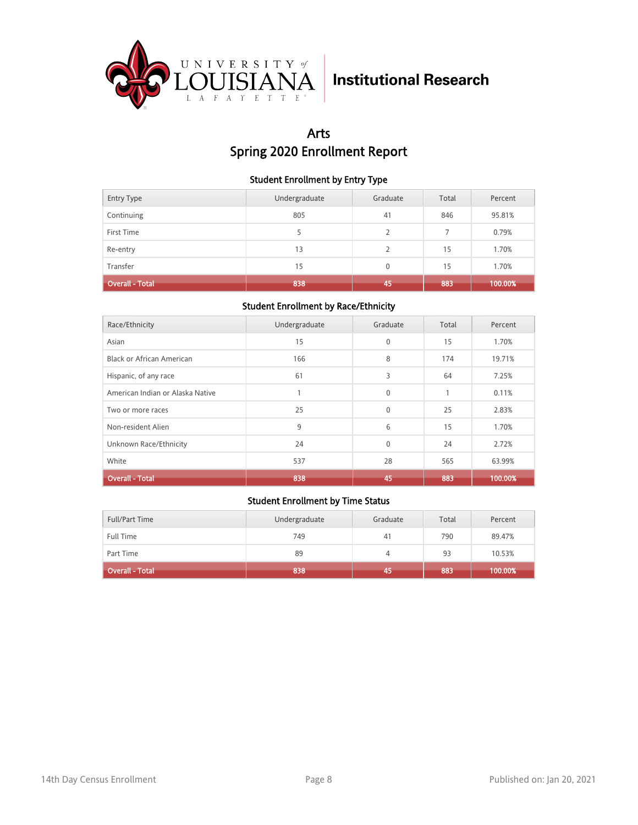

## Arts Spring 2020 Enrollment Report

#### Student Enrollment by Entry Type

| <b>Entry Type</b>      | Undergraduate | Graduate       | Total | Percent |
|------------------------|---------------|----------------|-------|---------|
| Continuing             | 805           | 41             | 846   | 95.81%  |
| First Time             | 5             | $\overline{2}$ |       | 0.79%   |
| Re-entry               | 13            | 2              | 15    | 1.70%   |
| Transfer               | 15            | $\Omega$       | 15    | 1.70%   |
| <b>Overall - Total</b> | 838           | 45             | 883   | 100.00% |

### Student Enrollment by Race/Ethnicity

| Race/Ethnicity                   | Undergraduate | Graduate     | Total | Percent |
|----------------------------------|---------------|--------------|-------|---------|
| Asian                            | 15            | $\mathbf{0}$ | 15    | 1.70%   |
| <b>Black or African American</b> | 166           | 8            | 174   | 19.71%  |
| Hispanic, of any race            | 61            | 3            | 64    | 7.25%   |
| American Indian or Alaska Native |               | $\Omega$     | 1     | 0.11%   |
| Two or more races                | 25            | $\Omega$     | 25    | 2.83%   |
| Non-resident Alien               | 9             | 6            | 15    | 1.70%   |
| Unknown Race/Ethnicity           | 24            | $\Omega$     | 24    | 2.72%   |
| White                            | 537           | 28           | 565   | 63.99%  |
| <b>Overall - Total</b>           | 838           | 45           | 883   | 100.00% |

| Full/Part Time         | Undergraduate | Graduate | Total | Percent |
|------------------------|---------------|----------|-------|---------|
| Full Time              | 749           | 41       | 790   | 89.47%  |
| Part Time              | 89            | 4        | 93    | 10.53%  |
| <b>Overall - Total</b> | 838           | 45       | 883   | 100.00% |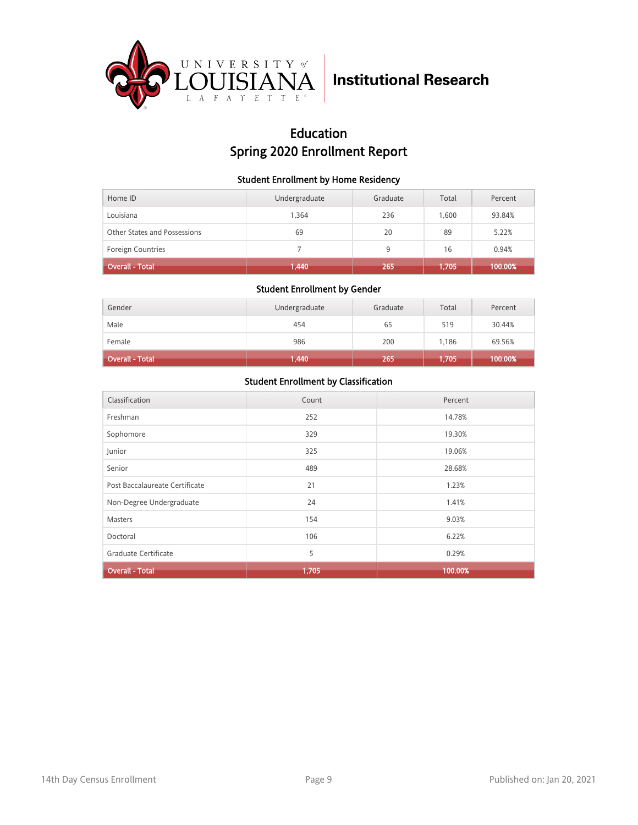

## Education Spring 2020 Enrollment Report

#### Student Enrollment by Home Residency

| Home ID                      | Undergraduate | Graduate | Total | Percent |
|------------------------------|---------------|----------|-------|---------|
| Louisiana                    | 1.364         | 236      | 1.600 | 93.84%  |
| Other States and Possessions | 69            | 20       | 89    | 5.22%   |
| <b>Foreign Countries</b>     |               | 9        | 16    | 0.94%   |
| <b>Overall - Total</b>       | 1,440         | 265      | 1,705 | 100.00% |

#### Student Enrollment by Gender

| Gender                 | Undergraduate | Graduate | Total | Percent |
|------------------------|---------------|----------|-------|---------|
| Male                   | 454           | 65       | 519   | 30.44%  |
| Female                 | 986           | 200      | 1,186 | 69.56%  |
| <b>Overall - Total</b> | 1,440         | 265      | 1,705 | 100.00% |

| Classification                 | Count | Percent |
|--------------------------------|-------|---------|
| Freshman                       | 252   | 14.78%  |
| Sophomore                      | 329   | 19.30%  |
| Junior                         | 325   | 19.06%  |
| Senior                         | 489   | 28.68%  |
| Post Baccalaureate Certificate | 21    | 1.23%   |
| Non-Degree Undergraduate       | 24    | 1.41%   |
| <b>Masters</b>                 | 154   | 9.03%   |
| Doctoral                       | 106   | 6.22%   |
| Graduate Certificate           | 5     | 0.29%   |
| <b>Overall - Total</b>         | 1,705 | 100.00% |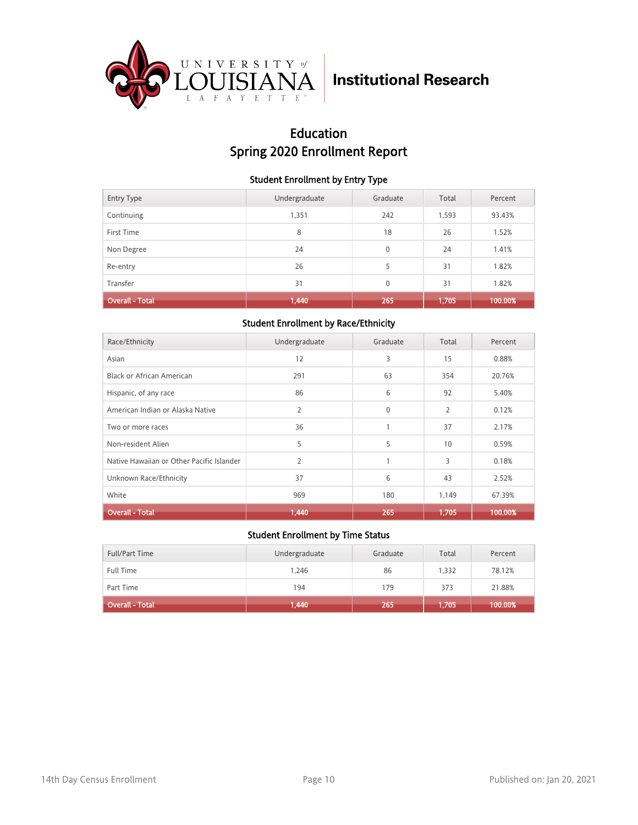

## Education Spring 2020 Enrollment Report

#### Student Enrollment by Entry Type

| <b>Entry Type</b>      | Undergraduate | Graduate     | Total | Percent |
|------------------------|---------------|--------------|-------|---------|
| Continuing             | 1,351         | 242          | 1,593 | 93.43%  |
| First Time             | 8             | 18           | 26    | 1.52%   |
| Non Degree             | 24            | $\mathbf{0}$ | 24    | 1.41%   |
| Re-entry               | 26            | 5            | 31    | 1.82%   |
| Transfer               | 31            | $\mathbf{0}$ | 31    | 1.82%   |
| <b>Overall - Total</b> | 1,440         | 265          | 1,705 | 100.00% |

### Student Enrollment by Race/Ethnicity

| Race/Ethnicity                            | Undergraduate | Graduate     | Total          | Percent |
|-------------------------------------------|---------------|--------------|----------------|---------|
| Asian                                     | 12            | 3            | 15             | 0.88%   |
| Black or African American                 | 291           | 63           | 354            | 20.76%  |
| Hispanic, of any race                     | 86            | 6            | 92             | 5.40%   |
| American Indian or Alaska Native          | 2             | $\mathbf{0}$ | $\overline{2}$ | 0.12%   |
| Two or more races                         | 36            |              | 37             | 2.17%   |
| Non-resident Alien                        | 5             | 5            | 10             | 0.59%   |
| Native Hawaiian or Other Pacific Islander | 2             | $\mathbf{1}$ | 3              | 0.18%   |
| Unknown Race/Ethnicity                    | 37            | 6            | 43             | 2.52%   |
| White                                     | 969           | 180          | 1,149          | 67.39%  |
| <b>Overall - Total</b>                    | 1,440         | 265          | 1,705          | 100.00% |

| <b>Full/Part Time</b>  | Undergraduate | Graduate | Total | Percent |
|------------------------|---------------|----------|-------|---------|
| <b>Full Time</b>       | 1.246         | 86       | 1.332 | 78.12%  |
| Part Time              | 194           | 179      | 373   | 21.88%  |
| <b>Overall - Total</b> | 1,440         | 265      | 1,705 | 100.00% |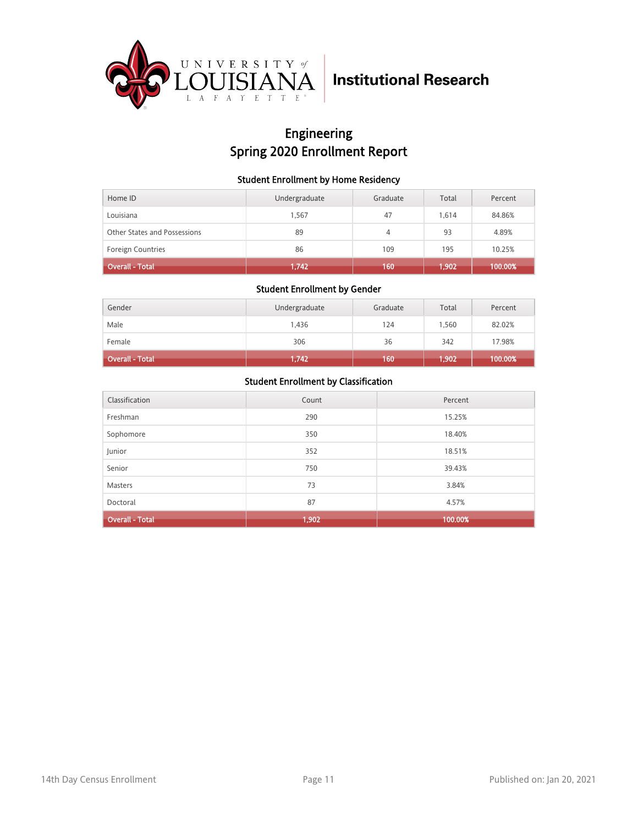

## Engineering Spring 2020 Enrollment Report

#### Student Enrollment by Home Residency

| Home ID                      | Undergraduate | Graduate | Total | Percent |
|------------------------------|---------------|----------|-------|---------|
| Louisiana                    | 1.567         | 47       | 1.614 | 84.86%  |
| Other States and Possessions | 89            | 4        | 93    | 4.89%   |
| <b>Foreign Countries</b>     | 86            | 109      | 195   | 10.25%  |
| <b>Overall - Total</b>       | 1,742         | 160      | 1,902 | 100.00% |

#### Student Enrollment by Gender

| Gender                 | Undergraduate | Graduate | Total | Percent |
|------------------------|---------------|----------|-------|---------|
| Male                   | 1,436         | 124      | 1.560 | 82.02%  |
| Female                 | 306           | 36       | 342   | 17.98%  |
| <b>Overall - Total</b> | 1,742         | 160      | 1,902 | 100.00% |

| Classification         | Count | Percent |
|------------------------|-------|---------|
| Freshman               | 290   | 15.25%  |
| Sophomore              | 350   | 18.40%  |
| Junior                 | 352   | 18.51%  |
| Senior                 | 750   | 39.43%  |
| <b>Masters</b>         | 73    | 3.84%   |
| Doctoral               | 87    | 4.57%   |
| <b>Overall - Total</b> | 1,902 | 100.00% |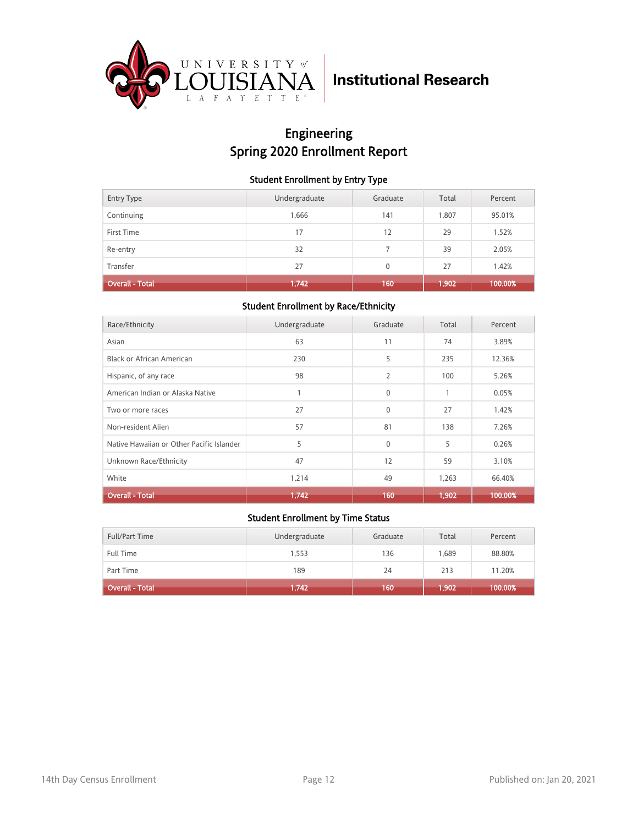

## Engineering Spring 2020 Enrollment Report

#### Student Enrollment by Entry Type

| <b>Entry Type</b>      | Undergraduate | Graduate | Total | Percent |
|------------------------|---------------|----------|-------|---------|
| Continuing             | 1,666         | 141      | 1,807 | 95.01%  |
| First Time             | 17            | 12       | 29    | 1.52%   |
| Re-entry               | 32            |          | 39    | 2.05%   |
| Transfer               | 27            | $\Omega$ | 27    | 1.42%   |
| <b>Overall - Total</b> | 1,742         | 160      | 1,902 | 100.00% |

### Student Enrollment by Race/Ethnicity

| Race/Ethnicity                            | Undergraduate | Graduate       | Total | Percent |
|-------------------------------------------|---------------|----------------|-------|---------|
| Asian                                     | 63            | 11             | 74    | 3.89%   |
| Black or African American                 | 230           | 5              | 235   | 12.36%  |
| Hispanic, of any race                     | 98            | $\overline{2}$ | 100   | 5.26%   |
| American Indian or Alaska Native          |               | $\Omega$       | 1     | 0.05%   |
| Two or more races                         | 27            | $\mathbf{0}$   | 27    | 1.42%   |
| Non-resident Alien                        | 57            | 81             | 138   | 7.26%   |
| Native Hawaiian or Other Pacific Islander | 5             | $\Omega$       | 5     | 0.26%   |
| Unknown Race/Ethnicity                    | 47            | 12             | 59    | 3.10%   |
| White                                     | 1,214         | 49             | 1,263 | 66.40%  |
| <b>Overall - Total</b>                    | 1,742         | 160            | 1,902 | 100.00% |

| Full/Part Time               | Undergraduate | Graduate | Total | Percent |
|------------------------------|---------------|----------|-------|---------|
| <b>Full Time</b>             | 1,553         | 136      | 1.689 | 88.80%  |
| Part Time                    | 189           | 24       | 213   | 11.20%  |
| Overall - Total <sup>1</sup> | 1,742         | 160      | 1,902 | 100.00% |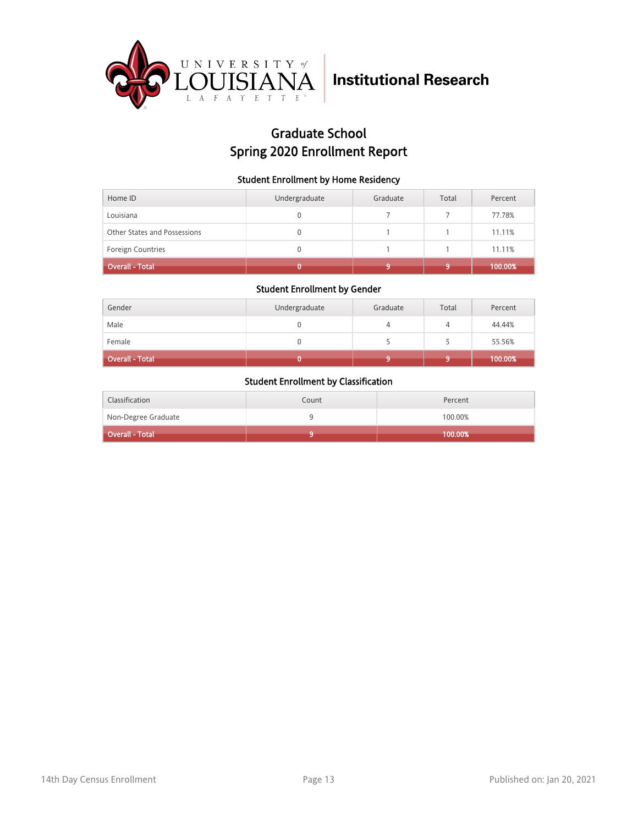

## Graduate School Spring 2020 Enrollment Report

#### Student Enrollment by Home Residency

| Home ID                      | Undergraduate | Graduate | Total | Percent |
|------------------------------|---------------|----------|-------|---------|
| Louisiana                    |               |          |       | 77.78%  |
| Other States and Possessions |               |          |       | 11.11%  |
| Foreign Countries            |               |          |       | 11.11%  |
| <b>Overall - Total</b>       |               |          |       | 100.00% |

#### Student Enrollment by Gender

| Gender                 | Undergraduate | Graduate | Total | Percent |
|------------------------|---------------|----------|-------|---------|
| Male                   |               |          |       | 44.44%  |
| Female                 |               |          |       | 55.56%  |
| <b>Overall - Total</b> |               |          |       | 100.00% |

| Classification      | Count | Percent |
|---------------------|-------|---------|
| Non-Degree Graduate |       | 100.00% |
| Overall - Total     |       | 100.00% |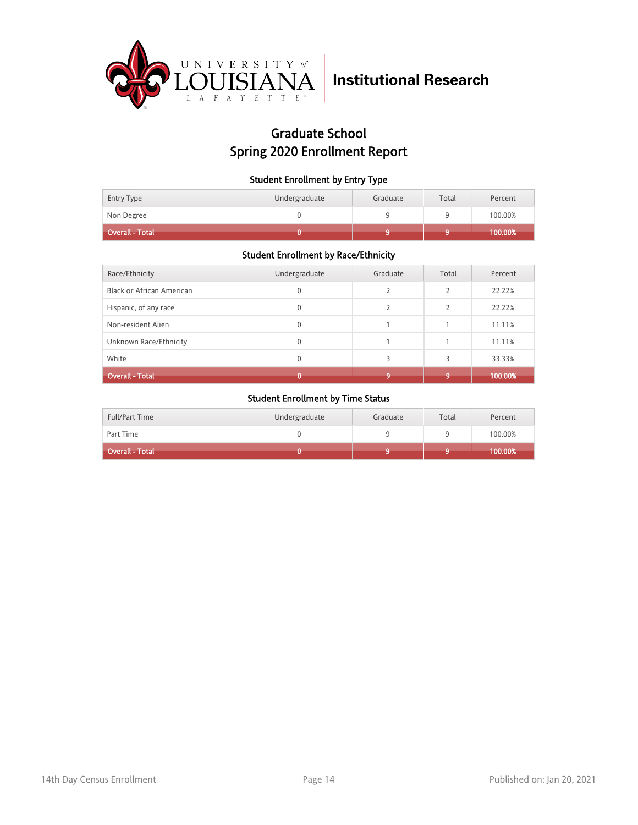

## Graduate School Spring 2020 Enrollment Report

#### Student Enrollment by Entry Type

| Entry Type<br>Non Degree | Undergraduate | Graduate | Total | Percent<br>100.00% |
|--------------------------|---------------|----------|-------|--------------------|
| <b>Overall - Total</b>   |               |          |       | 100.00%            |

### Student Enrollment by Race/Ethnicity

| Race/Ethnicity                   | Undergraduate | Graduate      | Total | Percent |
|----------------------------------|---------------|---------------|-------|---------|
| <b>Black or African American</b> | 0             | $\mathcal{P}$ | フ     | 22.22%  |
| Hispanic, of any race            | 0             | $\mathcal{P}$ |       | 22.22%  |
| Non-resident Alien               | 0             |               |       | 11.11%  |
| Unknown Race/Ethnicity           | 0             |               |       | 11.11%  |
| White                            | $\mathbf{0}$  | 3             | 3     | 33.33%  |
| <b>Overall - Total</b>           |               | $\bullet$     | 9     | 100.00% |

| <b>Full/Part Time</b> | Undergraduate | Graduate | Total | Percent |
|-----------------------|---------------|----------|-------|---------|
| Part Time             |               |          |       | 100.00% |
| Overall - Total       |               |          |       | 100.00% |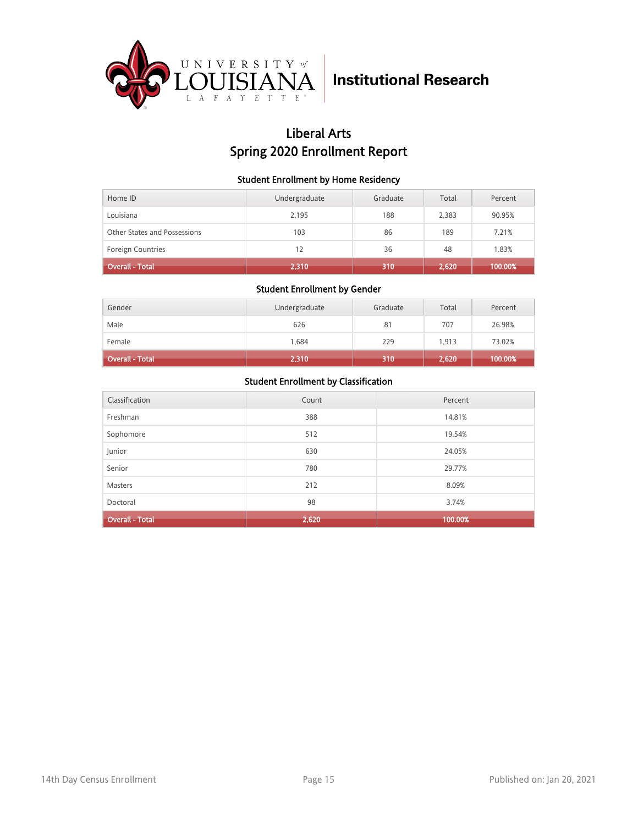

## Liberal Arts Spring 2020 Enrollment Report

#### Student Enrollment by Home Residency

| Home ID                      | Undergraduate | Graduate | Total | Percent |
|------------------------------|---------------|----------|-------|---------|
| Louisiana                    | 2,195         | 188      | 2,383 | 90.95%  |
| Other States and Possessions | 103           | 86       | 189   | 7.21%   |
| <b>Foreign Countries</b>     | 12            | 36       | 48    | 1.83%   |
| <b>Overall - Total</b>       | 2,310         | 310      | 2,620 | 100.00% |

#### Student Enrollment by Gender

| Gender                 | Undergraduate | Graduate | Total | Percent |
|------------------------|---------------|----------|-------|---------|
| Male                   | 626           | 81       | 707   | 26.98%  |
| Female                 | 1,684         | 229      | 1,913 | 73.02%  |
| <b>Overall - Total</b> | 2,310         | 310      | 2,620 | 100.00% |

| Classification         | Count | Percent |
|------------------------|-------|---------|
| Freshman               | 388   | 14.81%  |
| Sophomore              | 512   | 19.54%  |
| Junior                 | 630   | 24.05%  |
| Senior                 | 780   | 29.77%  |
| <b>Masters</b>         | 212   | 8.09%   |
| Doctoral               | 98    | 3.74%   |
| <b>Overall - Total</b> | 2,620 | 100.00% |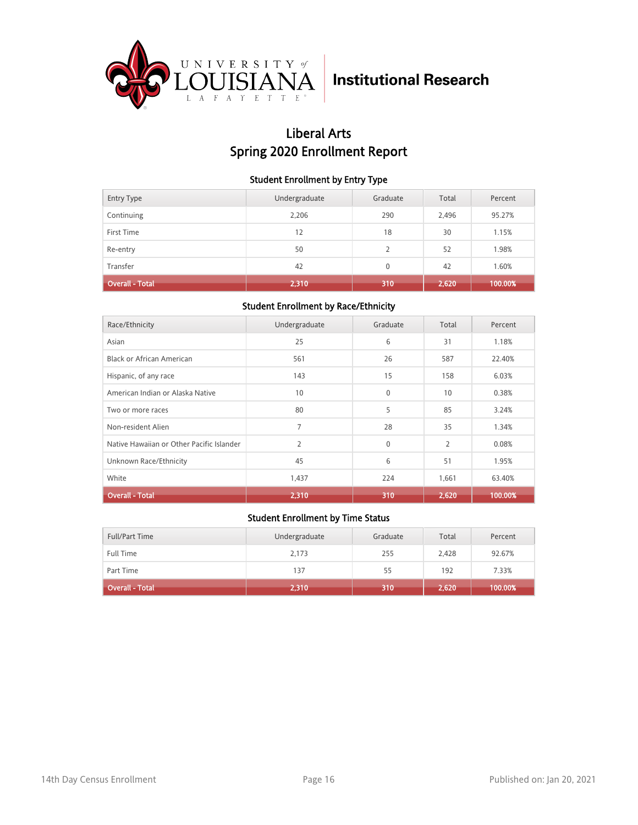

## Liberal Arts Spring 2020 Enrollment Report

#### Student Enrollment by Entry Type

| <b>Entry Type</b>      | Undergraduate | Graduate | Total | Percent |
|------------------------|---------------|----------|-------|---------|
| Continuing             | 2,206         | 290      | 2,496 | 95.27%  |
| First Time             | 12            | 18       | 30    | 1.15%   |
| Re-entry               | 50            | 2        | 52    | 1.98%   |
| Transfer               | 42            | $\Omega$ | 42    | 1.60%   |
| <b>Overall - Total</b> | 2,310         | 310      | 2,620 | 100.00% |

### Student Enrollment by Race/Ethnicity

| Race/Ethnicity                            | Undergraduate  | Graduate | Total          | Percent |
|-------------------------------------------|----------------|----------|----------------|---------|
| Asian                                     | 25             | 6        | 31             | 1.18%   |
| Black or African American                 | 561            | 26       | 587            | 22.40%  |
| Hispanic, of any race                     | 143            | 15       | 158            | 6.03%   |
| American Indian or Alaska Native          | 10             | $\Omega$ | 10             | 0.38%   |
| Two or more races                         | 80             | 5        | 85             | 3.24%   |
| Non-resident Alien                        | 7              | 28       | 35             | 1.34%   |
| Native Hawaiian or Other Pacific Islander | $\overline{2}$ | $\Omega$ | $\overline{2}$ | 0.08%   |
| Unknown Race/Ethnicity                    | 45             | 6        | 51             | 1.95%   |
| White                                     | 1,437          | 224      | 1,661          | 63.40%  |
| <b>Overall - Total</b>                    | 2,310          | 310      | 2,620          | 100.00% |

| Full/Part Time         | Undergraduate | Graduate | Total | Percent |
|------------------------|---------------|----------|-------|---------|
| <b>Full Time</b>       | 2,173         | 255      | 2,428 | 92.67%  |
| Part Time              | 137           | 55       | 192   | 7.33%   |
| <b>Overall - Total</b> | 2,310         | 310      | 2,620 | 100.00% |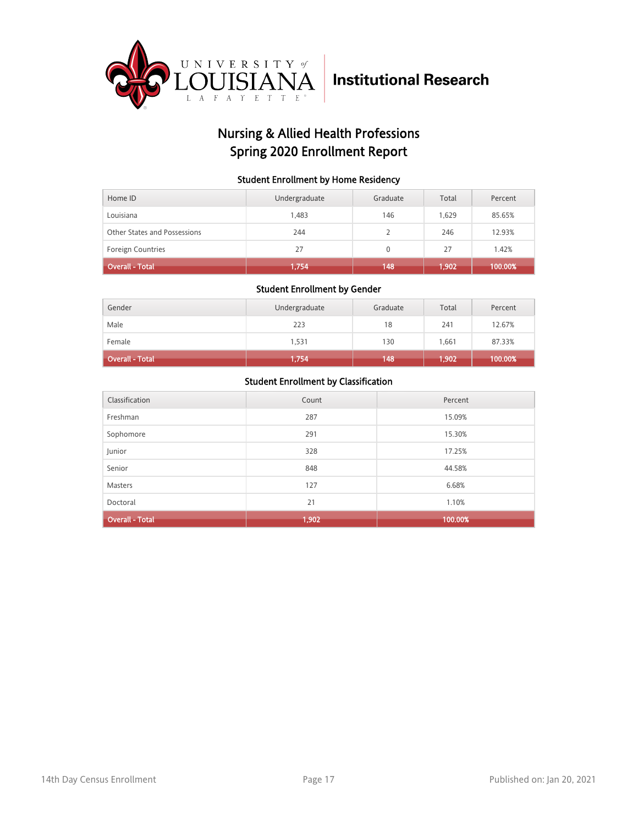

## Nursing & Allied Health Professions Spring 2020 Enrollment Report

#### Student Enrollment by Home Residency

| Home ID                      | Undergraduate | Graduate     | Total | Percent |
|------------------------------|---------------|--------------|-------|---------|
| Louisiana                    | 1.483         | 146          | 1.629 | 85.65%  |
| Other States and Possessions | 244           |              | 246   | 12.93%  |
| Foreign Countries            | 27            | $\mathbf{0}$ | 27    | 1.42%   |
| <b>Overall - Total</b>       | 1,754         | 148          | 1,902 | 100.00% |

#### Student Enrollment by Gender

| Gender                 | Undergraduate | Graduate | Total    | Percent |
|------------------------|---------------|----------|----------|---------|
| Male                   | 223           | 18       | 241      | 12.67%  |
| Female                 | 1,531         | 130      | 1,661    | 87.33%  |
| <b>Overall - Total</b> | 1,754         | 148      | (1, 902) | 100.00% |

| Classification         | Count | Percent |
|------------------------|-------|---------|
| Freshman               | 287   | 15.09%  |
| Sophomore              | 291   | 15.30%  |
| Junior                 | 328   | 17.25%  |
| Senior                 | 848   | 44.58%  |
| <b>Masters</b>         | 127   | 6.68%   |
| Doctoral               | 21    | 1.10%   |
| <b>Overall - Total</b> | 1,902 | 100.00% |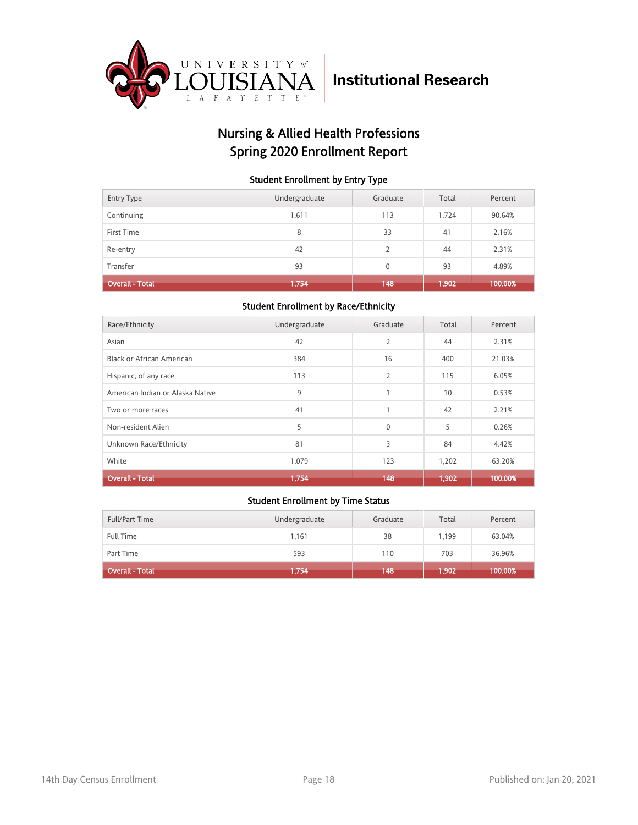

## Nursing & Allied Health Professions Spring 2020 Enrollment Report

#### Student Enrollment by Entry Type

| <b>Entry Type</b>      | Undergraduate | Graduate | Total | Percent |
|------------------------|---------------|----------|-------|---------|
| Continuing             | 1,611         | 113      | 1,724 | 90.64%  |
| First Time             | 8             | 33       | 41    | 2.16%   |
| Re-entry               | 42            | 2        | 44    | 2.31%   |
| Transfer               | 93            | $\Omega$ | 93    | 4.89%   |
| <b>Overall - Total</b> | 1,754         | 148      | 1,902 | 100.00% |

### Student Enrollment by Race/Ethnicity

| Race/Ethnicity                   | Undergraduate | Graduate       | Total | Percent |
|----------------------------------|---------------|----------------|-------|---------|
| Asian                            | 42            | $\overline{2}$ | 44    | 2.31%   |
| <b>Black or African American</b> | 384           | 16             | 400   | 21.03%  |
| Hispanic, of any race            | 113           | $\overline{2}$ | 115   | 6.05%   |
| American Indian or Alaska Native | 9             | 1              | 10    | 0.53%   |
| Two or more races                | 41            | 1              | 42    | 2.21%   |
| Non-resident Alien               | 5             | $\mathbf{0}$   | 5     | 0.26%   |
| Unknown Race/Ethnicity           | 81            | 3              | 84    | 4.42%   |
| White                            | 1,079         | 123            | 1,202 | 63.20%  |
| <b>Overall - Total</b>           | 1,754         | 148            | 1,902 | 100.00% |

| Full/Part Time         | Undergraduate | Graduate | Total | Percent |
|------------------------|---------------|----------|-------|---------|
| <b>Full Time</b>       | 1,161         | 38       | 1,199 | 63.04%  |
| Part Time              | 593           | 110      | 703   | 36.96%  |
| <b>Overall - Total</b> | 1,754         | 148      | 1,902 | 100.00% |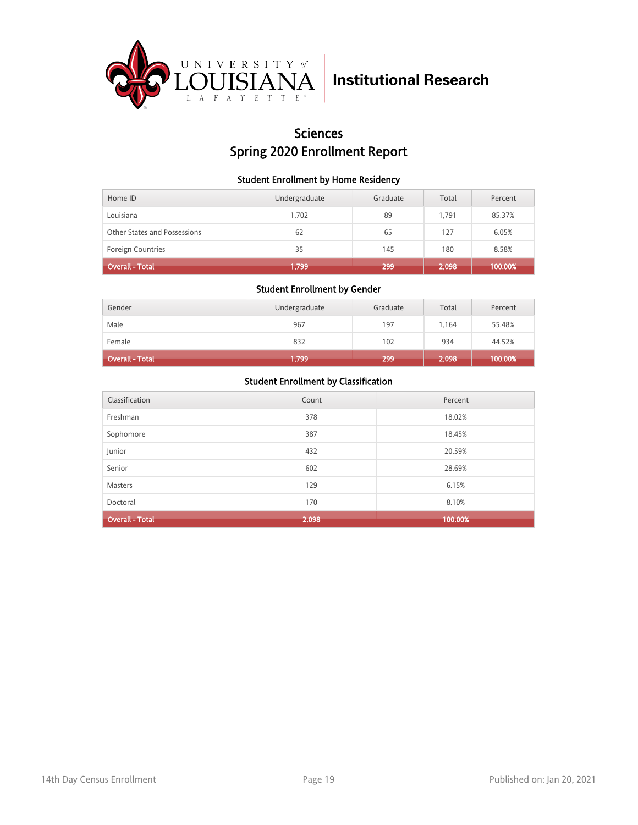

## Sciences Spring 2020 Enrollment Report

#### Student Enrollment by Home Residency

| Home ID                      | Undergraduate | Graduate | Total | Percent |
|------------------------------|---------------|----------|-------|---------|
| Louisiana                    | 1.702         | 89       | 1.791 | 85.37%  |
| Other States and Possessions | 62            | 65       | 127   | 6.05%   |
| <b>Foreign Countries</b>     | 35            | 145      | 180   | 8.58%   |
| <b>Overall - Total</b>       | 1,799         | 299      | 2,098 | 100.00% |

#### Student Enrollment by Gender

| Gender                 | Undergraduate | Graduate | Total | Percent |
|------------------------|---------------|----------|-------|---------|
| Male                   | 967           | 197      | 1.164 | 55.48%  |
| Female                 | 832           | 102      | 934   | 44.52%  |
| <b>Overall - Total</b> | 1,799         | 299      | 2,098 | 100.00% |

| Classification         | Count | Percent |
|------------------------|-------|---------|
| Freshman               | 378   | 18.02%  |
| Sophomore              | 387   | 18.45%  |
| Junior                 | 432   | 20.59%  |
| Senior                 | 602   | 28.69%  |
| <b>Masters</b>         | 129   | 6.15%   |
| Doctoral               | 170   | 8.10%   |
| <b>Overall - Total</b> | 2,098 | 100.00% |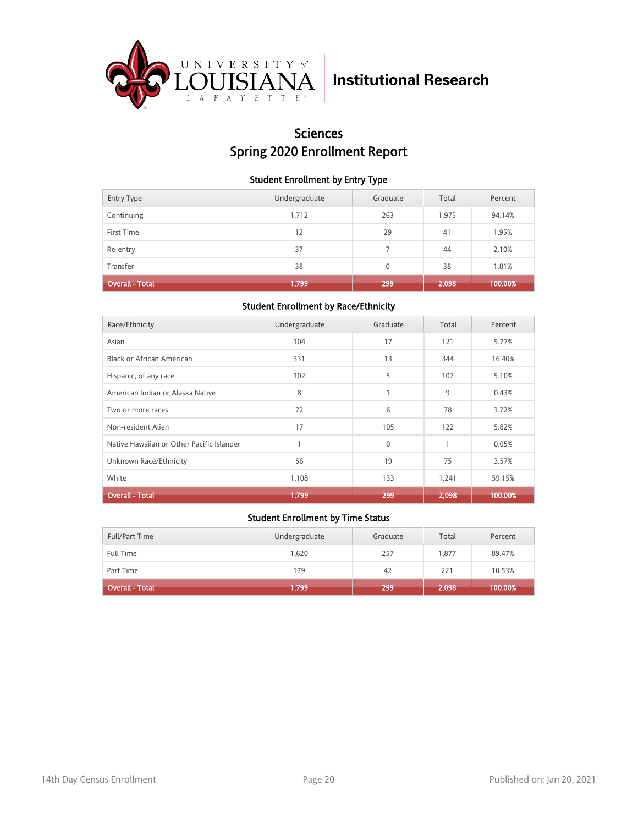

## Sciences Spring 2020 Enrollment Report

#### Student Enrollment by Entry Type

| <b>Entry Type</b>      | Undergraduate | Graduate | Total | Percent |
|------------------------|---------------|----------|-------|---------|
| Continuing             | 1,712         | 263      | 1,975 | 94.14%  |
| First Time             | 12            | 29       | 41    | 1.95%   |
| Re-entry               | 37            |          | 44    | 2.10%   |
| Transfer               | 38            | $\Omega$ | 38    | 1.81%   |
| <b>Overall - Total</b> | 1,799         | 299      | 2,098 | 100.00% |

### Student Enrollment by Race/Ethnicity

| Race/Ethnicity                            | Undergraduate | Graduate | Total | Percent |
|-------------------------------------------|---------------|----------|-------|---------|
| Asian                                     | 104           | 17       | 121   | 5.77%   |
| Black or African American                 | 331           | 13       | 344   | 16.40%  |
| Hispanic, of any race                     | 102           | 5        | 107   | 5.10%   |
| American Indian or Alaska Native          | 8             | 1        | 9     | 0.43%   |
| Two or more races                         | 72            | 6        | 78    | 3.72%   |
| Non-resident Alien                        | 17            | 105      | 122   | 5.82%   |
| Native Hawaiian or Other Pacific Islander |               | $\Omega$ | 1     | 0.05%   |
| Unknown Race/Ethnicity                    | 56            | 19       | 75    | 3.57%   |
| White                                     | 1,108         | 133      | 1,241 | 59.15%  |
| <b>Overall - Total</b>                    | 1,799         | 299      | 2,098 | 100.00% |

| Full/Part Time         | Undergraduate | Graduate | Total | Percent |
|------------------------|---------------|----------|-------|---------|
| <b>Full Time</b>       | 1.620         | 257      | 1.877 | 89.47%  |
| Part Time              | 179           | 42       | 221   | 10.53%  |
| <b>Overall - Total</b> | 1,799         | 299      | 2,098 | 100.00% |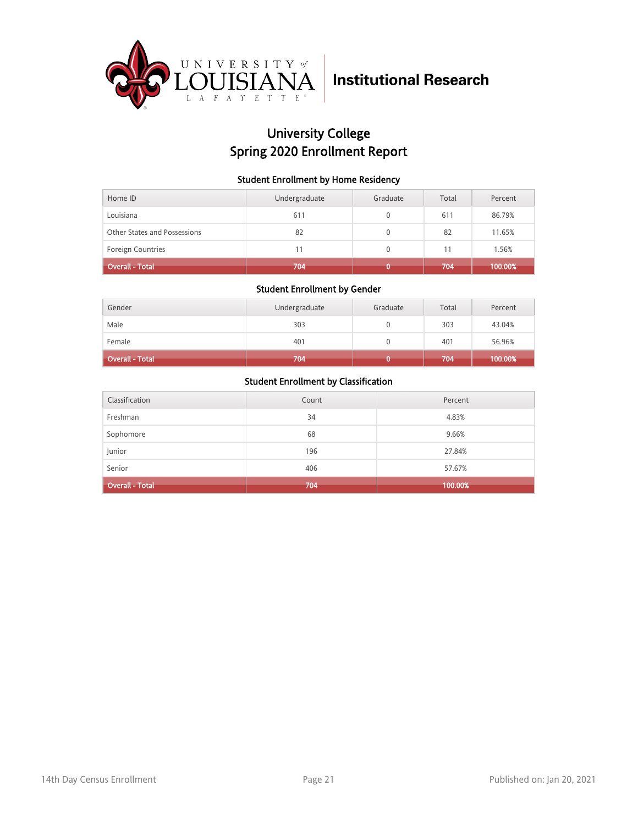

## University College Spring 2020 Enrollment Report

#### Student Enrollment by Home Residency

| Home ID                      | Undergraduate | Graduate | Total | Percent |
|------------------------------|---------------|----------|-------|---------|
| Louisiana                    | 611           |          | 611   | 86.79%  |
| Other States and Possessions | 82            |          | 82    | 11.65%  |
| <b>Foreign Countries</b>     | 11            |          | 11    | 1.56%   |
| Overall - Total <sup>1</sup> | 704           |          | 704   | 100.00% |

#### Student Enrollment by Gender

| Gender                 | Undergraduate | Graduate | Total | Percent |
|------------------------|---------------|----------|-------|---------|
| Male                   | 303           |          | 303   | 43.04%  |
| Female                 | 401           |          | 401   | 56.96%  |
| <b>Overall - Total</b> | 704           |          | 704   | 100.00% |

| Classification         | Count | Percent |
|------------------------|-------|---------|
| Freshman               | 34    | 4.83%   |
| Sophomore              | 68    | 9.66%   |
| Junior                 | 196   | 27.84%  |
| Senior                 | 406   | 57.67%  |
| <b>Overall - Total</b> | 704   | 100.00% |